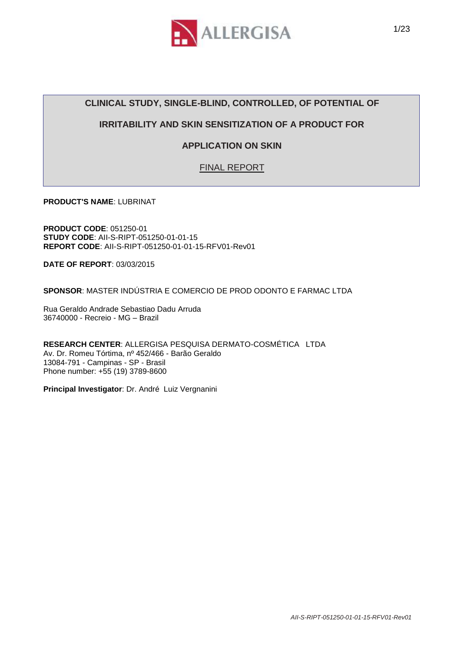

# **CLINICAL STUDY, SINGLE-BLIND, CONTROLLED, OF POTENTIAL OF**

## **IRRITABILITY AND SKIN SENSITIZATION OF A PRODUCT FOR**

# **APPLICATION ON SKIN**

FINAL REPORT

**PRODUCT'S NAME**: LUBRINAT

**PRODUCT CODE**: 051250-01 **STUDY CODE**: AII-S-RIPT-051250-01-01-15 **REPORT CODE**: AII-S-RIPT-051250-01-01-15-RFV01-Rev01

**DATE OF REPORT**: 03/03/2015

**SPONSOR**: MASTER INDÚSTRIA E COMERCIO DE PROD ODONTO E FARMAC LTDA

Rua Geraldo Andrade Sebastiao Dadu Arruda 36740000 - Recreio - MG – Brazil

**RESEARCH CENTER**: ALLERGISA PESQUISA DERMATO-COSMÉTICA LTDA Av. Dr. Romeu Tórtima, nº 452/466 - Barão Geraldo 13084-791 - Campinas - SP - Brasil Phone number: +55 (19) 3789-8600

**Principal Investigator**: Dr. André Luiz Vergnanini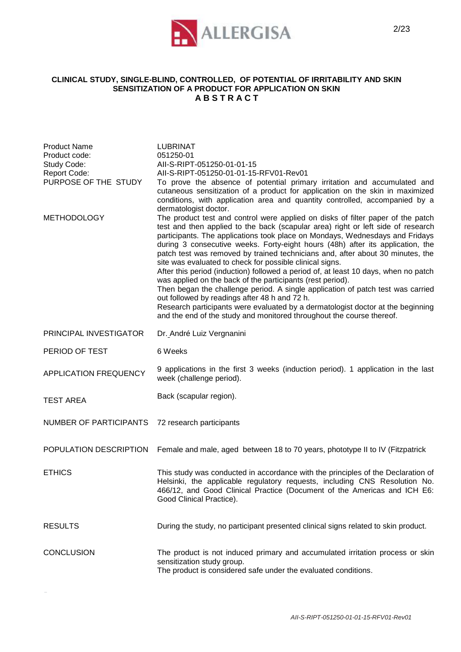

#### **CLINICAL STUDY, SINGLE-BLIND, CONTROLLED, OF POTENTIAL OF IRRITABILITY AND SKIN SENSITIZATION OF A PRODUCT FOR APPLICATION ON SKIN A B S T R A C T**

| <b>Product Name</b><br>Product code:<br>Study Code:<br><b>Report Code:</b><br>PURPOSE OF THE STUDY | <b>LUBRINAT</b><br>051250-01<br>All-S-RIPT-051250-01-01-15<br>All-S-RIPT-051250-01-01-15-RFV01-Rev01<br>To prove the absence of potential primary irritation and accumulated and<br>cutaneous sensitization of a product for application on the skin in maximized<br>conditions, with application area and quantity controlled, accompanied by a<br>dermatologist doctor.                                                                                                                                                                                                                                                                                                                                                                                                                                                                                                                                                                |
|----------------------------------------------------------------------------------------------------|------------------------------------------------------------------------------------------------------------------------------------------------------------------------------------------------------------------------------------------------------------------------------------------------------------------------------------------------------------------------------------------------------------------------------------------------------------------------------------------------------------------------------------------------------------------------------------------------------------------------------------------------------------------------------------------------------------------------------------------------------------------------------------------------------------------------------------------------------------------------------------------------------------------------------------------|
| <b>METHODOLOGY</b>                                                                                 | The product test and control were applied on disks of filter paper of the patch<br>test and then applied to the back (scapular area) right or left side of research<br>participants. The applications took place on Mondays, Wednesdays and Fridays<br>during 3 consecutive weeks. Forty-eight hours (48h) after its application, the<br>patch test was removed by trained technicians and, after about 30 minutes, the<br>site was evaluated to check for possible clinical signs.<br>After this period (induction) followed a period of, at least 10 days, when no patch<br>was applied on the back of the participants (rest period).<br>Then began the challenge period. A single application of patch test was carried<br>out followed by readings after 48 h and 72 h.<br>Research participants were evaluated by a dermatologist doctor at the beginning<br>and the end of the study and monitored throughout the course thereof. |
| PRINCIPAL INVESTIGATOR                                                                             | Dr. André Luiz Vergnanini                                                                                                                                                                                                                                                                                                                                                                                                                                                                                                                                                                                                                                                                                                                                                                                                                                                                                                                |
| PERIOD OF TEST                                                                                     | 6 Weeks                                                                                                                                                                                                                                                                                                                                                                                                                                                                                                                                                                                                                                                                                                                                                                                                                                                                                                                                  |
| <b>APPLICATION FREQUENCY</b>                                                                       | 9 applications in the first 3 weeks (induction period). 1 application in the last<br>week (challenge period).                                                                                                                                                                                                                                                                                                                                                                                                                                                                                                                                                                                                                                                                                                                                                                                                                            |
| <b>TEST AREA</b>                                                                                   | Back (scapular region).                                                                                                                                                                                                                                                                                                                                                                                                                                                                                                                                                                                                                                                                                                                                                                                                                                                                                                                  |
| NUMBER OF PARTICIPANTS                                                                             | 72 research participants                                                                                                                                                                                                                                                                                                                                                                                                                                                                                                                                                                                                                                                                                                                                                                                                                                                                                                                 |
| POPULATION DESCRIPTION                                                                             | Female and male, aged between 18 to 70 years, phototype II to IV (Fitzpatrick                                                                                                                                                                                                                                                                                                                                                                                                                                                                                                                                                                                                                                                                                                                                                                                                                                                            |
| <b>ETHICS</b>                                                                                      | This study was conducted in accordance with the principles of the Declaration of<br>Helsinki, the applicable regulatory requests, including CNS Resolution No.<br>466/12, and Good Clinical Practice (Document of the Americas and ICH E6:<br>Good Clinical Practice).                                                                                                                                                                                                                                                                                                                                                                                                                                                                                                                                                                                                                                                                   |
| <b>RESULTS</b>                                                                                     | During the study, no participant presented clinical signs related to skin product.                                                                                                                                                                                                                                                                                                                                                                                                                                                                                                                                                                                                                                                                                                                                                                                                                                                       |
| <b>CONCLUSION</b>                                                                                  | The product is not induced primary and accumulated irritation process or skin<br>sensitization study group.<br>The product is considered safe under the evaluated conditions.                                                                                                                                                                                                                                                                                                                                                                                                                                                                                                                                                                                                                                                                                                                                                            |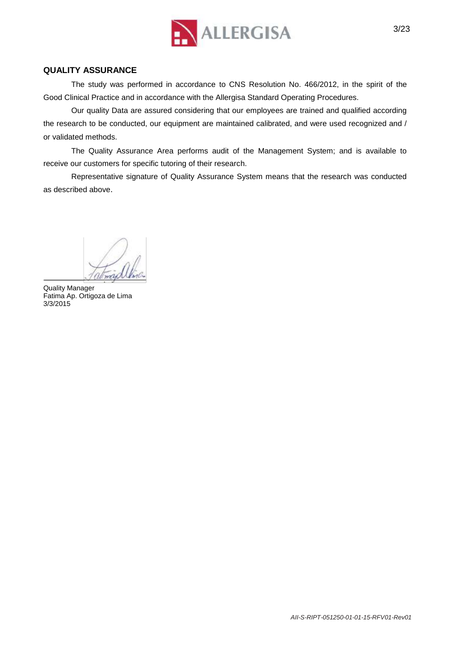

#### **QUALITY ASSURANCE**

The study was performed in accordance to CNS Resolution No. 466/2012, in the spirit of the Good Clinical Practice and in accordance with the Allergisa Standard Operating Procedures.

Our quality Data are assured considering that our employees are trained and qualified according the research to be conducted, our equipment are maintained calibrated, and were used recognized and / or validated methods.

The Quality Assurance Area performs audit of the Management System; and is available to receive our customers for specific tutoring of their research.

Representative signature of Quality Assurance System means that the research was conducted as described above.

Quality Manager Fatima Ap. Ortigoza de Lima 3/3/2015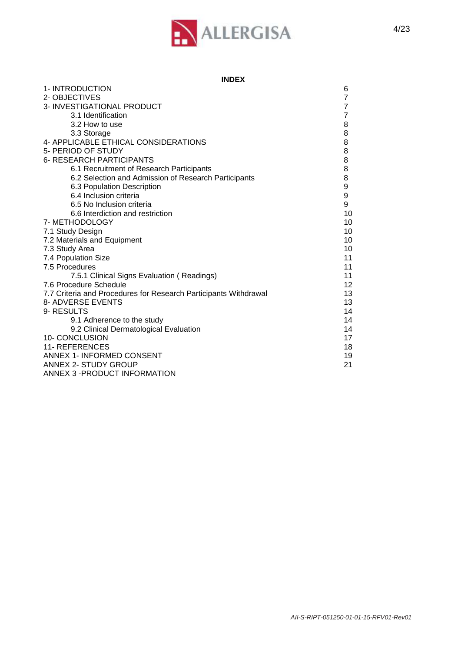

| <b>INDEX</b> |  |
|--------------|--|
|--------------|--|

| 1-INTRODUCTION                                                   | 6              |
|------------------------------------------------------------------|----------------|
| 2- OBJECTIVES                                                    | 7              |
| 3- INVESTIGATIONAL PRODUCT                                       | $\overline{7}$ |
| 3.1 Identification                                               | $\overline{7}$ |
| 3.2 How to use                                                   | 8              |
| 3.3 Storage                                                      | 8              |
| 4- APPLICABLE ETHICAL CONSIDERATIONS                             | 8              |
| 5- PERIOD OF STUDY                                               | 8              |
| <b>6- RESEARCH PARTICIPANTS</b>                                  | 8              |
| 6.1 Recruitment of Research Participants                         | 8              |
| 6.2 Selection and Admission of Research Participants             | 8              |
| 6.3 Population Description                                       | 9              |
| 6.4 Inclusion criteria                                           | 9              |
| 6.5 No Inclusion criteria                                        | 9              |
| 6.6 Interdiction and restriction                                 | 10             |
| 7- METHODOLOGY                                                   | 10             |
| 7.1 Study Design                                                 | 10             |
| 7.2 Materials and Equipment                                      | 10             |
| 7.3 Study Area                                                   | 10             |
| 7.4 Population Size                                              | 11             |
| 7.5 Procedures                                                   | 11             |
| 7.5.1 Clinical Signs Evaluation (Readings)                       | 11             |
| 7.6 Procedure Schedule                                           | 12             |
| 7.7 Criteria and Procedures for Research Participants Withdrawal | 13             |
| 8- ADVERSE EVENTS                                                | 13             |
| 9- RESULTS                                                       | 14             |
| 9.1 Adherence to the study                                       | 14             |
| 9.2 Clinical Dermatological Evaluation                           | 14             |
| 10- CONCLUSION                                                   | 17             |
| <b>11- REFERENCES</b>                                            | 18             |
| ANNEX 1- INFORMED CONSENT                                        | 19             |
| ANNEX 2- STUDY GROUP                                             | 21             |
| ANNEX 3 - PRODUCT INFORMATION                                    |                |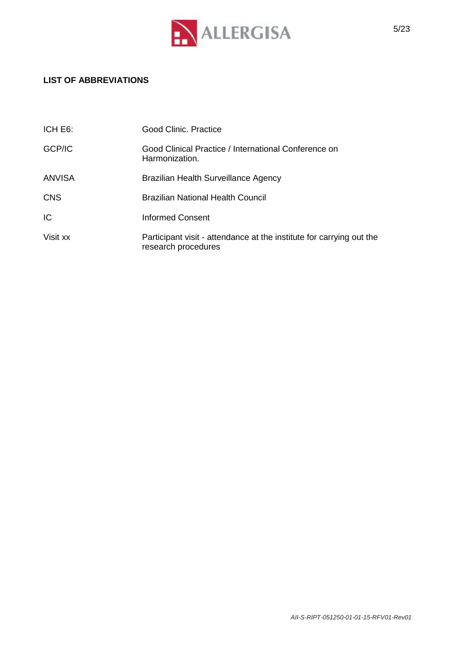

# **LIST OF ABBREVIATIONS**

| ICH E6:       | Good Clinic, Practice                                                                       |
|---------------|---------------------------------------------------------------------------------------------|
| GCP/IC        | Good Clinical Practice / International Conference on<br>Harmonization.                      |
| <b>ANVISA</b> | Brazilian Health Surveillance Agency                                                        |
| <b>CNS</b>    | <b>Brazilian National Health Council</b>                                                    |
| ТC            | Informed Consent                                                                            |
| Visit xx      | Participant visit - attendance at the institute for carrying out the<br>research procedures |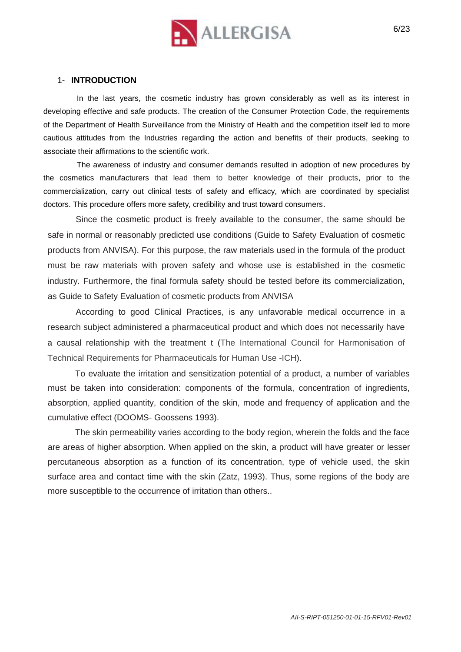

#### 1- **INTRODUCTION**

In the last years, the cosmetic industry has grown considerably as well as its interest in developing effective and safe products. The creation of the Consumer Protection Code, the requirements of the Department of Health Surveillance from the Ministry of Health and the competition itself led to more cautious attitudes from the Industries regarding the action and benefits of their products, seeking to associate their affirmations to the scientific work.

The awareness of industry and consumer demands resulted in adoption of new procedures by the cosmetics manufacturers that lead them to better knowledge of their products, prior to the commercialization, carry out clinical tests of safety and efficacy, which are coordinated by specialist doctors. This procedure offers more safety, credibility and trust toward consumers.

Since the cosmetic product is freely available to the consumer, the same should be safe in normal or reasonably predicted use conditions (Guide to Safety Evaluation of cosmetic products from ANVISA). For this purpose, the raw materials used in the formula of the product must be raw materials with proven safety and whose use is established in the cosmetic industry. Furthermore, the final formula safety should be tested before its commercialization, as Guide to Safety Evaluation of cosmetic products from ANVISA

According to good Clinical Practices, is any unfavorable medical occurrence in a research subject administered a pharmaceutical product and which does not necessarily have a causal relationship with the treatment t (The International Council for Harmonisation of Technical Requirements for Pharmaceuticals for Human Use -ICH).

To evaluate the irritation and sensitization potential of a product, a number of variables must be taken into consideration: components of the formula, concentration of ingredients, absorption, applied quantity, condition of the skin, mode and frequency of application and the cumulative effect (DOOMS- Goossens 1993).

The skin permeability varies according to the body region, wherein the folds and the face are areas of higher absorption. When applied on the skin, a product will have greater or lesser percutaneous absorption as a function of its concentration, type of vehicle used, the skin surface area and contact time with the skin (Zatz, 1993). Thus, some regions of the body are more susceptible to the occurrence of irritation than others..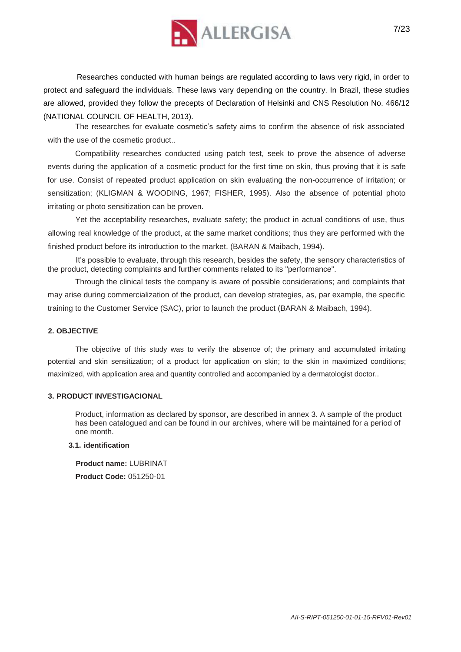

Researches conducted with human beings are regulated according to laws very rigid, in order to protect and safeguard the individuals. These laws vary depending on the country. In Brazil, these studies are allowed, provided they follow the precepts of Declaration of Helsinki and CNS Resolution No. 466/12 (NATIONAL COUNCIL OF HEALTH, 2013).

The researches for evaluate cosmetic's safety aims to confirm the absence of risk associated with the use of the cosmetic product..

Compatibility researches conducted using patch test, seek to prove the absence of adverse events during the application of a cosmetic product for the first time on skin, thus proving that it is safe for use. Consist of repeated product application on skin evaluating the non-occurrence of irritation; or sensitization; (KLIGMAN & WOODING, 1967; FISHER, 1995). Also the absence of potential photo irritating or photo sensitization can be proven.

Yet the acceptability researches, evaluate safety; the product in actual conditions of use, thus allowing real knowledge of the product, at the same market conditions; thus they are performed with the finished product before its introduction to the market. (BARAN & Maibach, 1994).

It's possible to evaluate, through this research, besides the safety, the sensory characteristics of the product, detecting complaints and further comments related to its "performance".

Through the clinical tests the company is aware of possible considerations; and complaints that may arise during commercialization of the product, can develop strategies, as, par example, the specific training to the Customer Service (SAC), prior to launch the product (BARAN & Maibach, 1994).

#### **2. OBJECTIVE**

The objective of this study was to verify the absence of; the primary and accumulated irritating potential and skin sensitization; of a product for application on skin; to the skin in maximized conditions; maximized, with application area and quantity controlled and accompanied by a dermatologist doctor..

#### **3. PRODUCT INVESTIGACIONAL**

Product, information as declared by sponsor, are described in annex 3. A sample of the product has been catalogued and can be found in our archives, where will be maintained for a period of one month.

#### **3.1. identification**

**Product name:** LUBRINAT **Product Code:** 051250-01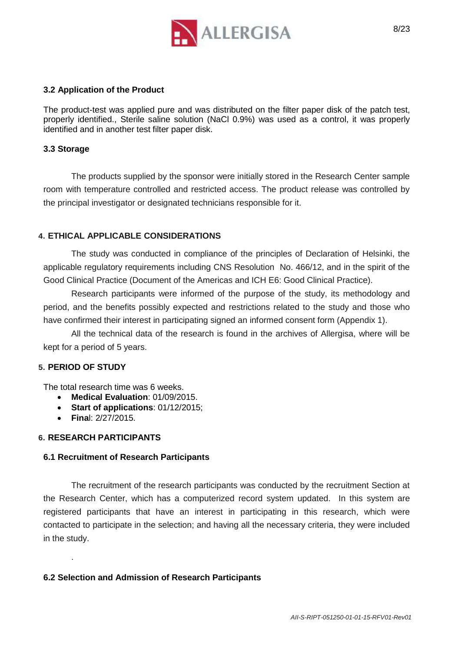

#### **3.2 Application of the Product**

The product-test was applied pure and was distributed on the filter paper disk of the patch test, properly identified., Sterile saline solution (NaCl 0.9%) was used as a control, it was properly identified and in another test filter paper disk.

### **3.3 Storage**

The products supplied by the sponsor were initially stored in the Research Center sample room with temperature controlled and restricted access. The product release was controlled by the principal investigator or designated technicians responsible for it.

## **4. ETHICAL APPLICABLE CONSIDERATIONS**

The study was conducted in compliance of the principles of Declaration of Helsinki, the applicable regulatory requirements including CNS Resolution No. 466/12, and in the spirit of the Good Clinical Practice (Document of the Americas and ICH E6: Good Clinical Practice).

Research participants were informed of the purpose of the study, its methodology and period, and the benefits possibly expected and restrictions related to the study and those who have confirmed their interest in participating signed an informed consent form (Appendix 1).

All the technical data of the research is found in the archives of Allergisa, where will be kept for a period of 5 years.

#### **5. PERIOD OF STUDY**

.

The total research time was 6 weeks.

- **Medical Evaluation**: 01/09/2015.
- **Start of applications**: 01/12/2015;
- **Fina**l: 2/27/2015.

### **6. RESEARCH PARTICIPANTS**

#### **6.1 Recruitment of Research Participants**

The recruitment of the research participants was conducted by the recruitment Section at the Research Center, which has a computerized record system updated. In this system are registered participants that have an interest in participating in this research, which were contacted to participate in the selection; and having all the necessary criteria, they were included in the study.

## **6.2 Selection and Admission of Research Participants**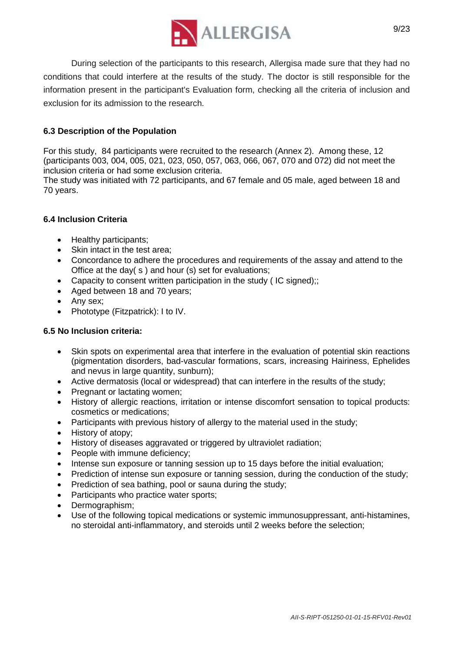

During selection of the participants to this research, Allergisa made sure that they had no conditions that could interfere at the results of the study. The doctor is still responsible for the information present in the participant's Evaluation form, checking all the criteria of inclusion and exclusion for its admission to the research.

## **6.3 Description of the Population**

For this study, 84 participants were recruited to the research (Annex 2). Among these, 12 (participants 003, 004, 005, 021, 023, 050, 057, 063, 066, 067, 070 and 072) did not meet the inclusion criteria or had some exclusion criteria.

The study was initiated with 72 participants, and 67 female and 05 male, aged between 18 and 70 years.

#### **6.4 Inclusion Criteria**

- Healthy participants;
- Skin intact in the test area;
- Concordance to adhere the procedures and requirements of the assay and attend to the Office at the day( s ) and hour (s) set for evaluations;
- Capacity to consent written participation in the study (IC signed);;
- Aged between 18 and 70 years;
- Any sex;
- Phototype (Fitzpatrick): I to IV.

#### **6.5 No Inclusion criteria:**

- Skin spots on experimental area that interfere in the evaluation of potential skin reactions (pigmentation disorders, bad-vascular formations, scars, increasing Hairiness, Ephelides and nevus in large quantity, sunburn);
- Active dermatosis (local or widespread) that can interfere in the results of the study;
- Pregnant or lactating women;
- History of allergic reactions, irritation or intense discomfort sensation to topical products: cosmetics or medications;
- Participants with previous history of allergy to the material used in the study;
- History of atopy;
- History of diseases aggravated or triggered by ultraviolet radiation;
- People with immune deficiency;
- Intense sun exposure or tanning session up to 15 days before the initial evaluation;
- Prediction of intense sun exposure or tanning session, during the conduction of the study;
- Prediction of sea bathing, pool or sauna during the study;
- Participants who practice water sports;
- Dermographism;
- Use of the following topical medications or systemic immunosuppressant, anti-histamines, no steroidal anti-inflammatory, and steroids until 2 weeks before the selection;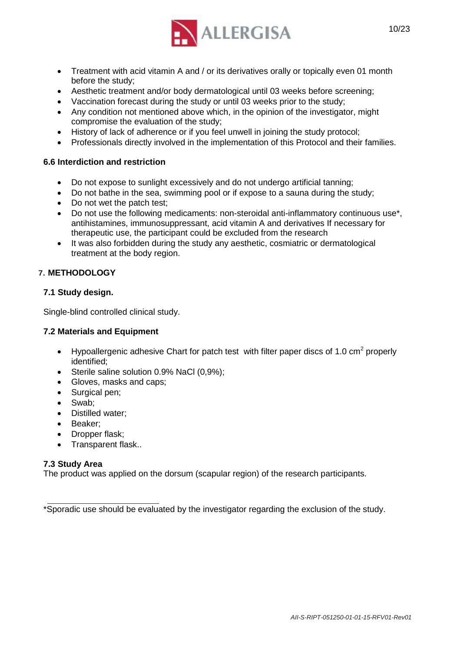

- Treatment with acid vitamin A and / or its derivatives orally or topically even 01 month before the study;
- Aesthetic treatment and/or body dermatological until 03 weeks before screening;
- Vaccination forecast during the study or until 03 weeks prior to the study;
- Any condition not mentioned above which, in the opinion of the investigator, might compromise the evaluation of the study;
- History of lack of adherence or if you feel unwell in joining the study protocol;
- Professionals directly involved in the implementation of this Protocol and their families.

#### **6.6 Interdiction and restriction**

- Do not expose to sunlight excessively and do not undergo artificial tanning;
- Do not bathe in the sea, swimming pool or if expose to a sauna during the study;
- Do not wet the patch test;
- Do not use the following medicaments: non-steroidal anti-inflammatory continuous use\*, antihistamines, immunosuppressant, acid vitamin A and derivatives If necessary for therapeutic use, the participant could be excluded from the research
- It was also forbidden during the study any aesthetic, cosmiatric or dermatological treatment at the body region.

## **7. METHODOLOGY**

#### **7.1 Study design.**

Single-blind controlled clinical study.

#### **7.2 Materials and Equipment**

- Hypoallergenic adhesive Chart for patch test with filter paper discs of 1.0 cm<sup>2</sup> properly identified;
- Sterile saline solution 0.9% NaCl (0,9%);
- Gloves, masks and caps;
- Surgical pen;
- Swab;
- Distilled water:
- Beaker:
- Dropper flask;
- Transparent flask..

#### **7.3 Study Area**

The product was applied on the dorsum (scapular region) of the research participants.

\*Sporadic use should be evaluated by the investigator regarding the exclusion of the study.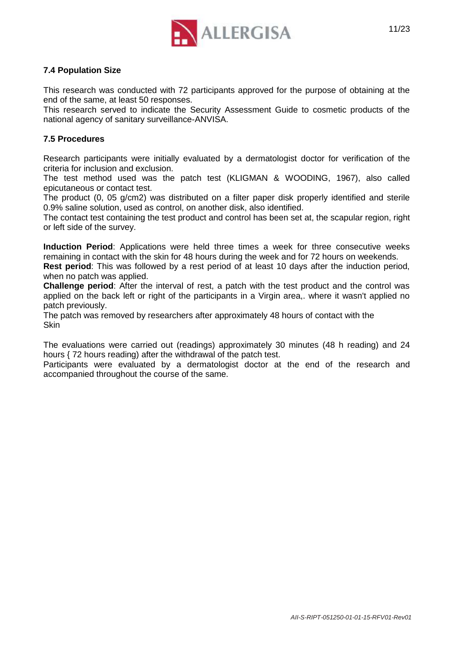

## **7.4 Population Size**

This research was conducted with 72 participants approved for the purpose of obtaining at the end of the same, at least 50 responses.

This research served to indicate the Security Assessment Guide to cosmetic products of the national agency of sanitary surveillance-ANVISA.

#### **7.5 Procedures**

Research participants were initially evaluated by a dermatologist doctor for verification of the criteria for inclusion and exclusion.

The test method used was the patch test (KLIGMAN & WOODING, 1967), also called epicutaneous or contact test.

The product (0, 05 g/cm2) was distributed on a filter paper disk properly identified and sterile 0.9% saline solution, used as control, on another disk, also identified.

The contact test containing the test product and control has been set at, the scapular region, right or left side of the survey.

**Induction Period**: Applications were held three times a week for three consecutive weeks remaining in contact with the skin for 48 hours during the week and for 72 hours on weekends. **Rest period**: This was followed by a rest period of at least 10 days after the induction period,

when no patch was applied.

**Challenge period**: After the interval of rest, a patch with the test product and the control was applied on the back left or right of the participants in a Virgin area,. where it wasn't applied no patch previously.

The patch was removed by researchers after approximately 48 hours of contact with the **Skin** 

The evaluations were carried out (readings) approximately 30 minutes (48 h reading) and 24 hours { 72 hours reading) after the withdrawal of the patch test.

Participants were evaluated by a dermatologist doctor at the end of the research and accompanied throughout the course of the same.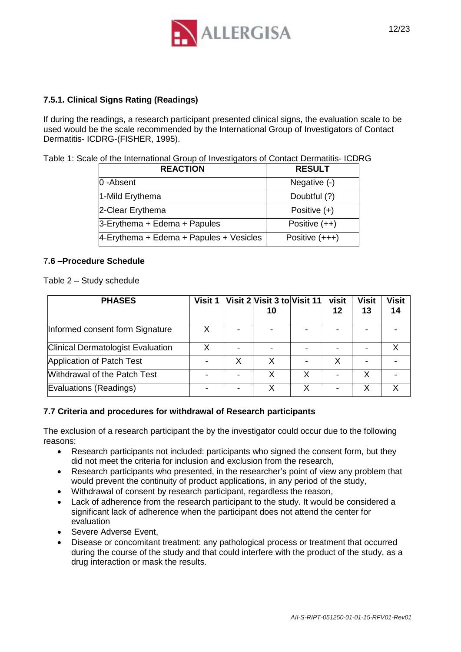

## **7.5.1. Clinical Signs Rating (Readings)**

If during the readings, a research participant presented clinical signs, the evaluation scale to be used would be the scale recommended by the International Group of Investigators of Contact Dermatitis- ICDRG-(FISHER, 1995).

|  | Table 1: Scale of the International Group of Investigators of Contact Dermatitis- ICDRG |
|--|-----------------------------------------------------------------------------------------|
|  |                                                                                         |

| <b>REACTION</b>                            | <b>RESULT</b>    |
|--------------------------------------------|------------------|
| 0-Absent                                   | Negative (-)     |
| 1-Mild Erythema                            | Doubtful (?)     |
| 2-Clear Erythema                           | Positive $(+)$   |
| $3$ -Erythema + Edema + Papules            | Positive $(++)$  |
| $4$ -Erythema + Edema + Papules + Vesicles | Positive $(+++)$ |

#### 7**.6 –Procedure Schedule**

Table 2 – Study schedule

| <b>PHASES</b>                            | Visit 1 |   | Visit 2 Visit 3 to Visit 11<br>10 | visit<br>12 | <b>Visit</b><br>13 | <b>Visit</b><br>14 |
|------------------------------------------|---------|---|-----------------------------------|-------------|--------------------|--------------------|
| Informed consent form Signature          |         |   |                                   |             |                    |                    |
| <b>Clinical Dermatologist Evaluation</b> |         |   |                                   |             |                    |                    |
| Application of Patch Test                |         | х |                                   | x           |                    |                    |
| Withdrawal of the Patch Test             |         |   |                                   |             | х                  |                    |
| Evaluations (Readings)                   |         |   | Χ                                 |             |                    | γ                  |

#### **7.7 Criteria and procedures for withdrawal of Research participants**

The exclusion of a research participant the by the investigator could occur due to the following reasons:

- Research participants not included: participants who signed the consent form, but they did not meet the criteria for inclusion and exclusion from the research,
- Research participants who presented, in the researcher's point of view any problem that would prevent the continuity of product applications, in any period of the study,
- Withdrawal of consent by research participant, regardless the reason,
- Lack of adherence from the research participant to the study. It would be considered a significant lack of adherence when the participant does not attend the center for evaluation
- Severe Adverse Event.
- Disease or concomitant treatment: any pathological process or treatment that occurred during the course of the study and that could interfere with the product of the study, as a drug interaction or mask the results.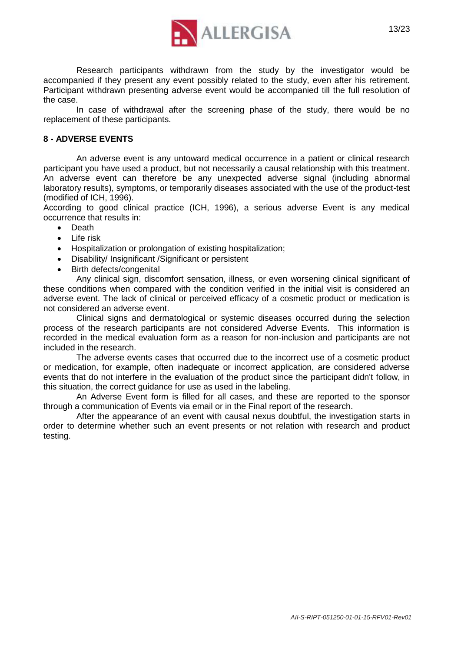

Research participants withdrawn from the study by the investigator would be accompanied if they present any event possibly related to the study, even after his retirement. Participant withdrawn presenting adverse event would be accompanied till the full resolution of the case.

In case of withdrawal after the screening phase of the study, there would be no replacement of these participants.

#### **8 - ADVERSE EVENTS**

An adverse event is any untoward medical occurrence in a patient or clinical research participant you have used a product, but not necessarily a causal relationship with this treatment. An adverse event can therefore be any unexpected adverse signal (including abnormal laboratory results), symptoms, or temporarily diseases associated with the use of the product-test (modified of ICH, 1996).

According to good clinical practice (ICH, 1996), a serious adverse Event is any medical occurrence that results in:

- Death
- Life risk
- Hospitalization or prolongation of existing hospitalization;
- Disability/ Insignificant /Significant or persistent
- Birth defects/congenital

Any clinical sign, discomfort sensation, illness, or even worsening clinical significant of these conditions when compared with the condition verified in the initial visit is considered an adverse event. The lack of clinical or perceived efficacy of a cosmetic product or medication is not considered an adverse event.

Clinical signs and dermatological or systemic diseases occurred during the selection process of the research participants are not considered Adverse Events. This information is recorded in the medical evaluation form as a reason for non-inclusion and participants are not included in the research.

The adverse events cases that occurred due to the incorrect use of a cosmetic product or medication, for example, often inadequate or incorrect application, are considered adverse events that do not interfere in the evaluation of the product since the participant didn't follow, in this situation, the correct guidance for use as used in the labeling.

An Adverse Event form is filled for all cases, and these are reported to the sponsor through a communication of Events via email or in the Final report of the research.

After the appearance of an event with causal nexus doubtful, the investigation starts in order to determine whether such an event presents or not relation with research and product testing.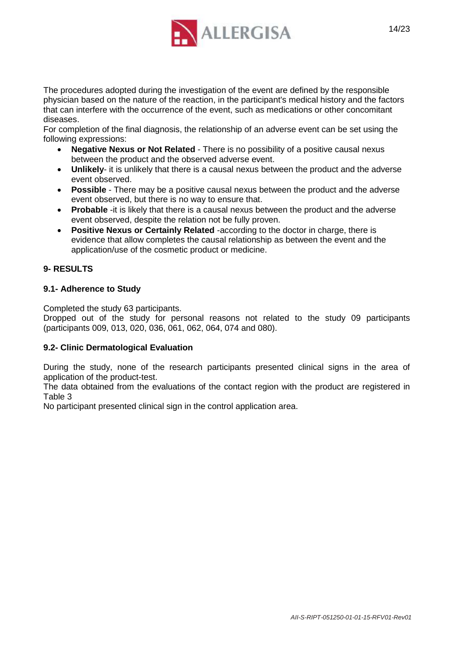

The procedures adopted during the investigation of the event are defined by the responsible physician based on the nature of the reaction, in the participant's medical history and the factors that can interfere with the occurrence of the event, such as medications or other concomitant diseases.

For completion of the final diagnosis, the relationship of an adverse event can be set using the following expressions:

- **Negative Nexus or Not Related**  There is no possibility of a positive causal nexus between the product and the observed adverse event.
- **Unlikely** it is unlikely that there is a causal nexus between the product and the adverse event observed.
- **Possible** There may be a positive causal nexus between the product and the adverse event observed, but there is no way to ensure that.
- **Probable** -it is likely that there is a causal nexus between the product and the adverse event observed, despite the relation not be fully proven.
- **Positive Nexus or Certainly Related** -according to the doctor in charge, there is evidence that allow completes the causal relationship as between the event and the application/use of the cosmetic product or medicine.

## **9- RESULTS**

#### **9.1- Adherence to Study**

Completed the study 63 participants.

Dropped out of the study for personal reasons not related to the study 09 participants (participants 009, 013, 020, 036, 061, 062, 064, 074 and 080).

#### **9.2- Clinic Dermatological Evaluation**

During the study, none of the research participants presented clinical signs in the area of application of the product-test.

The data obtained from the evaluations of the contact region with the product are registered in Table 3

No participant presented clinical sign in the control application area.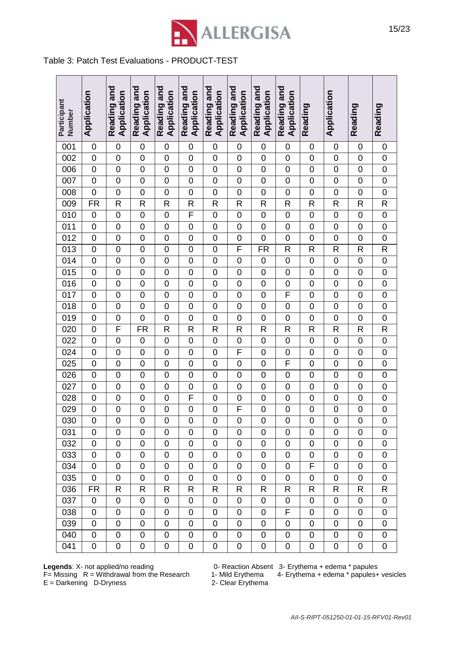

# Table 3: Patch Test Evaluations - PRODUCT-TEST

| Participant<br>Number | Application              | Reading and<br>Application | Reading and<br>Application | Reading and<br>Application | Reading and<br>Application | Reading and<br>Application | Reading and<br>Application | Reading and<br>Application | Reading and<br>Application | Reading          | Application      | Reading          | Reading             |
|-----------------------|--------------------------|----------------------------|----------------------------|----------------------------|----------------------------|----------------------------|----------------------------|----------------------------|----------------------------|------------------|------------------|------------------|---------------------|
| 001                   | $\mathbf 0$              | $\mathbf 0$                | 0                          | 0                          | 0                          | $\mathbf 0$                | 0                          | $\mathbf 0$                | $\mathbf 0$                | $\mathbf 0$      | $\mathbf 0$      | $\mathbf 0$      | $\boldsymbol{0}$    |
| 002                   | $\mathbf 0$              | $\mathbf 0$                | 0                          | $\overline{0}$             | $\mathbf 0$                | $\mathbf 0$                | $\mathbf 0$                | $\mathbf 0$                | $\mathbf 0$                | $\mathbf 0$      | $\mathbf 0$      | $\mathbf 0$      | $\pmb{0}$           |
| 006                   | $\boldsymbol{0}$         | $\mathbf 0$                | 0                          | $\mathbf 0$                | $\mathbf 0$                | $\mathbf 0$                | $\mathbf 0$                | $\mathbf 0$                | $\mathbf 0$                | $\mathbf 0$      | $\mathbf 0$      | $\mathbf 0$      | $\pmb{0}$           |
| 007                   | $\mathbf 0$              | $\mathbf 0$                | 0                          | $\mathbf 0$                | $\mathbf 0$                | $\mathbf 0$                | $\mathbf 0$                | $\mathbf 0$                | $\mathbf 0$                | $\mathbf 0$      | $\mathbf 0$      | $\mathbf 0$      | $\boldsymbol{0}$    |
| 008                   | $\overline{0}$           | $\mathbf 0$                | 0                          | $\mathbf 0$                | $\mathbf 0$                | $\mathbf 0$                | $\mathbf 0$                | $\overline{0}$             | $\mathbf 0$                | $\overline{0}$   | $\mathbf 0$      | $\mathbf 0$      | $\mathbf 0$         |
| 009                   | $\overline{\mathsf{FR}}$ | $\mathsf{R}$               | $\mathsf{R}$               | $\mathsf{R}$               | $\mathsf R$                | $\mathsf R$                | $\mathsf R$                | $\mathsf{R}$               | $\mathsf{R}$               | $\mathsf{R}$     | $\mathsf{R}$     | R                | $\mathsf{R}$        |
| 010                   | $\mathbf 0$              | $\mathbf 0$                | $\mathbf 0$                | 0                          | F                          | $\mathbf 0$                | $\mathbf 0$                | $\mathbf 0$                | $\mathbf 0$                | $\mathbf 0$      | $\boldsymbol{0}$ | $\boldsymbol{0}$ | $\mathsf{O}\xspace$ |
| 011                   | $\mathbf 0$              | $\mathbf 0$                | $\mathbf 0$                | 0                          | $\boldsymbol{0}$           | $\mathbf 0$                | $\mathbf 0$                | $\mathbf 0$                | $\mathbf 0$                | $\pmb{0}$        | $\mathbf 0$      | $\boldsymbol{0}$ | $\pmb{0}$           |
| $\overline{012}$      | $\overline{0}$           | $\mathbf 0$                | $\overline{0}$             | $\overline{0}$             | $\mathbf 0$                | $\mathbf 0$                | $\overline{0}$             | $\overline{0}$             | $\mathbf 0$                | $\overline{0}$   | $\mathbf 0$      | $\boldsymbol{0}$ | $\overline{0}$      |
| $\overline{013}$      | $\boldsymbol{0}$         | $\mathbf 0$                | 0                          | $\mathbf 0$                | $\mathbf 0$                | $\mathbf 0$                | F                          | FR                         | R                          | R                | R                | $\mathsf{R}$     | R                   |
| $\overline{014}$      | $\boldsymbol{0}$         | $\mathbf 0$                | $\mathbf 0$                | $\mathbf 0$                | $\mathbf 0$                | $\mathbf 0$                | $\mathbf 0$                | $\mathbf 0$                | $\mathbf 0$                | $\mathbf 0$      | $\mathbf 0$      | $\mathbf 0$      | $\mathbf 0$         |
| $\overline{015}$      | $\boldsymbol{0}$         | $\boldsymbol{0}$           | $\overline{0}$             | $\mathbf 0$                | $\mathbf 0$                | $\mathbf 0$                | $\mathbf 0$                | $\mathbf 0$                | $\mathbf 0$                | $\mathbf 0$      | $\mathbf 0$      | $\mathbf 0$      | $\pmb{0}$           |
| 016                   | $\mathbf 0$              | $\mathbf 0$                | $\overline{0}$             | $\overline{0}$             | $\mathbf 0$                | $\mathbf 0$                | $\overline{0}$             | $\mathbf 0$                | $\mathbf 0$                | $\overline{0}$   | $\mathbf 0$      | $\mathbf 0$      | $\mathbf 0$         |
| $\overline{017}$      | $\boldsymbol{0}$         | $\mathbf 0$                | 0                          | $\mathbf 0$                | $\mathbf 0$                | $\mathbf 0$                | $\mathbf 0$                | $\mathbf 0$                | $\overline{F}$             | $\mathbf 0$      | $\mathbf 0$      | $\mathbf 0$      | $\mathbf 0$         |
| $\overline{018}$      | $\mathbf 0$              | $\mathbf 0$                | $\overline{0}$             | $\mathbf 0$                | $\mathbf 0$                | $\mathbf 0$                | $\mathbf 0$                | $\mathbf 0$                | $\mathbf 0$                | $\mathbf 0$      | $\overline{0}$   | $\mathbf 0$      | $\mathbf 0$         |
| 019                   | $\boldsymbol{0}$         | $\mathbf 0$                | $\overline{0}$             | $\mathbf 0$                | $\mathbf 0$                | $\mathbf 0$                | $\mathbf 0$                | $\mathbf 0$                | $\mathbf 0$                | $\mathbf 0$      | 0                | $\mathbf 0$      | $\boldsymbol{0}$    |
| 020                   | $\mathbf 0$              | F                          | <b>FR</b>                  | $\mathsf{R}$               | $\mathsf R$                | $\mathsf R$                | $\mathsf{R}$               | $\mathsf{R}$               | $\mathsf R$                | $\mathsf{R}$     | $\mathsf{R}$     | $\mathsf{R}$     | $\mathsf{R}$        |
| $\overline{022}$      | $\overline{0}$           | $\mathbf 0$                | $\mathbf 0$                | $\overline{0}$             | $\boldsymbol{0}$           | $\mathbf 0$                | $\overline{0}$             | $\overline{0}$             | $\mathbf 0$                | $\overline{0}$   | $\boldsymbol{0}$ | $\boldsymbol{0}$ | $\overline{0}$      |
| $\overline{024}$      | $\mathbf 0$              | $\mathbf 0$                | $\overline{0}$             | $\overline{0}$             | $\mathbf 0$                | $\mathbf 0$                | F                          | $\mathbf 0$                | $\mathbf 0$                | $\mathbf 0$      | $\mathbf 0$      | $\mathbf 0$      | $\boldsymbol{0}$    |
| 025                   | $\boldsymbol{0}$         | $\mathbf 0$                | $\mathbf 0$                | $\mathbf 0$                | $\mathbf 0$                | $\mathbf 0$                | $\pmb{0}$                  | $\mathbf 0$                | F                          | $\mathbf 0$      | $\mathbf 0$      | $\boldsymbol{0}$ | $\pmb{0}$           |
| $\overline{026}$      | $\mathbf 0$              | $\mathbf 0$                | 0                          | $\mathbf 0$                | $\mathbf 0$                | $\mathbf 0$                | $\mathbf 0$                | $\mathbf 0$                | $\mathbf 0$                | $\boldsymbol{0}$ | $\mathbf 0$      | $\mathbf 0$      | $\mathbf 0$         |
| $\overline{027}$      | $\mathbf 0$              | $\mathbf 0$                | $\overline{0}$             | $\overline{0}$             | $\mathbf 0$                | $\mathbf 0$                | $\overline{0}$             | $\mathbf 0$                | $\mathbf 0$                | $\overline{0}$   | $\mathbf 0$      | $\mathbf 0$      | $\overline{0}$      |
| $\overline{028}$      | $\mathbf 0$              | $\mathbf 0$                | $\mathbf 0$                | $\mathbf 0$                | F                          | $\mathbf 0$                | $\mathbf 0$                | $\mathbf 0$                | $\mathbf 0$                | $\mathbf 0$      | $\mathbf 0$      | $\mathbf 0$      | $\pmb{0}$           |
| $\overline{029}$      | $\mathbf 0$              | $\mathbf 0$                | $\overline{0}$             | $\overline{0}$             | $\overline{0}$             | $\mathbf 0$                | F                          | $\mathbf 0$                | $\mathbf 0$                | $\mathbf 0$      | $\mathbf 0$      | $\mathbf 0$      | $\mathbf 0$         |
| 030                   | $\overline{0}$           | $\overline{0}$             | $\overline{0}$             | $\overline{0}$             | $\overline{0}$             | $\overline{0}$             | $\overline{0}$             | $\overline{0}$             | $\overline{0}$             | $\overline{0}$   | $\overline{0}$   | $\overline{0}$   | $\overline{0}$      |
| 031                   | $\overline{0}$           | $\overline{0}$             | 0                          | 0                          | 0                          | 0                          | 0                          | 0                          | $\overline{0}$             | 0                | 0                | 0                | 0                   |
| 032                   | 0                        | $\mathbf 0$                | 0                          | 0                          | 0                          | 0                          | 0                          | 0                          | $\mathbf 0$                | 0                | 0                | 0                | 0                   |
| 033                   | $\overline{0}$           | $\mathbf 0$                | 0                          | 0                          | 0                          | $\mathbf 0$                | 0                          | $\mathbf 0$                | $\overline{0}$             | 0                | 0                | 0                | 0                   |
| 034                   | 0                        | 0                          | 0                          | 0                          | 0                          | 0                          | 0                          | $\mathbf 0$                | 0                          | F                | 0                | 0                | 0                   |
| 035                   | 0                        | 0                          | 0                          | 0                          | 0                          | 0                          | 0                          | 0                          | 0                          | 0                | 0                | 0                | 0                   |
| 036                   | FR                       | R                          | R                          | R                          | R                          | R                          | R                          | R                          | R                          | R                | R                | R                | R                   |
| 037                   | 0                        | 0                          | 0                          | 0                          | 0                          | 0                          | 0                          | 0                          | 0                          | 0                | 0                | 0                | 0                   |
| 038                   | 0                        | $\mathbf 0$                | $\mathbf 0$                | 0                          | 0                          | $\mathbf 0$                | 0                          | 0                          | F                          | $\mathbf 0$      | 0                | $\mathbf 0$      | 0                   |
| 039                   | 0                        | 0                          | $\mathbf 0$                | 0                          | 0                          | 0                          | 0                          | 0                          | 0                          | 0                | 0                | 0                | 0                   |
| 040                   | 0                        | $\pmb{0}$                  | 0                          | 0                          | 0                          | 0                          | 0                          | 0                          | 0                          | 0                | 0                | 0                | 0                   |
| 041                   | 0                        | 0                          | 0                          | 0                          | 0                          | 0                          | 0                          | 0                          | 0                          | 0                | 0                | 0                | 0                   |

**Legends**: X- not applied/no reading  $0-$  Reaction Absent 3- Erythema + edema \* papules

F= Missing R = Withdrawal from the Research 1- Mild Erythema 4- Erythema + edema \* papules+ vesicles **Legends**: X- not applied/no reading 0- Reaction Absen<br>
F= Missing R = Withdrawal from the Research 1- Mild Erythema<br>
E = Darkening D-Dryness 2- Clear Erythema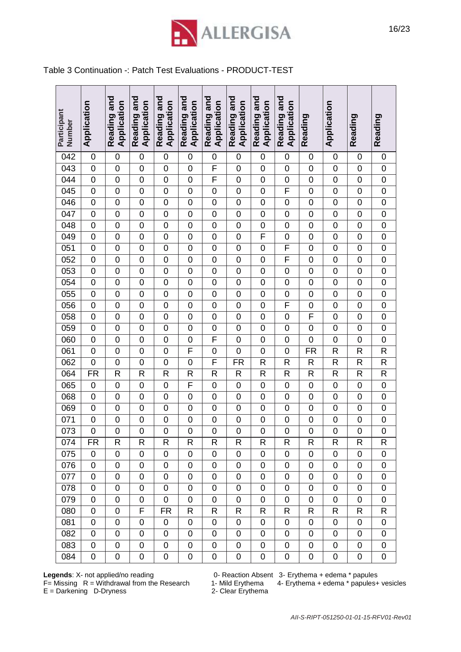

#### Table 3 Continuation -: Patch Test Evaluations - PRODUCT-TEST

| Participant<br>Number | Application      | Reading and<br>Application | Reading and<br>Application | Reading and<br>Application | Reading and<br>Application | Reading and<br>Application | Reading and<br>Application | Reading and<br>Application | Reading and<br>Application | Reading          | Application    | Reading        | Reading          |
|-----------------------|------------------|----------------------------|----------------------------|----------------------------|----------------------------|----------------------------|----------------------------|----------------------------|----------------------------|------------------|----------------|----------------|------------------|
| 042                   | $\mathbf 0$      | $\mathbf 0$                | $\overline{0}$             | $\mathbf 0$                | $\mathbf 0$                | $\overline{0}$             | 0                          | $\mathbf 0$                | $\mathbf 0$                | $\mathbf 0$      | $\mathbf 0$    | $\mathbf 0$    | $\mathbf 0$      |
| 043                   | $\mathbf 0$      | $\mathbf 0$                | $\mathbf 0$                | $\mathbf 0$                | $\mathbf 0$                | F                          | 0                          | $\overline{0}$             | $\mathbf 0$                | $\mathbf 0$      | $\mathbf 0$    | $\mathbf 0$    | $\mathbf 0$      |
| 044                   | $\boldsymbol{0}$ | $\mathbf 0$                | $\mathbf 0$                | $\overline{0}$             | $\overline{0}$             | F                          | $\mathbf 0$                | $\mathbf 0$                | $\mathbf 0$                | $\mathbf 0$      | $\mathbf 0$    | $\mathbf 0$    | $\mathbf 0$      |
| $\overline{045}$      | $\overline{0}$   | $\mathbf 0$                | $\mathbf 0$                | $\overline{0}$             | $\overline{0}$             | $\overline{0}$             | $\overline{0}$             | $\overline{0}$             | $\overline{F}$             | $\overline{0}$   | $\mathbf 0$    | $\mathbf 0$    | $\overline{0}$   |
| 046                   | $\boldsymbol{0}$ | $\boldsymbol{0}$           | $\mathbf 0$                | $\mathbf 0$                | 0                          | $\mathbf 0$                | $\mathbf 0$                | $\mathbf 0$                | $\mathbf 0$                | $\boldsymbol{0}$ | $\mathbf 0$    | $\mathbf 0$    | $\boldsymbol{0}$ |
| 047                   | $\boldsymbol{0}$ | $\mathbf 0$                | $\boldsymbol{0}$           | $\mathbf 0$                | $\mathbf 0$                | $\mathbf 0$                | $\mathbf 0$                | 0                          | $\mathbf 0$                | $\mathbf 0$      | $\mathbf 0$    | $\mathbf 0$    | $\boldsymbol{0}$ |
| $\overline{048}$      | $\mathbf 0$      | $\mathbf 0$                | $\mathbf 0$                | 0                          | $\overline{0}$             | $\mathbf 0$                | $\mathbf 0$                | $\mathbf 0$                | $\mathbf 0$                | $\overline{0}$   | $\mathbf 0$    | $\mathbf 0$    | $\mathbf 0$      |
| 049                   | $\mathbf 0$      | $\overline{0}$             | $\mathbf 0$                | $\mathbf 0$                | $\overline{0}$             | $\mathbf 0$                | $\overline{0}$             | F                          | $\mathbf 0$                | $\mathbf 0$      | $\mathbf 0$    | $\mathbf 0$    | $\mathbf 0$      |
| 051                   | $\mathbf 0$      | $\overline{0}$             | $\mathbf 0$                | $\mathbf 0$                | $\overline{0}$             | $\overline{0}$             | $\overline{0}$             | $\overline{0}$             | $\overline{F}$             | $\overline{0}$   | $\mathbf 0$    | $\mathbf 0$    | $\mathbf 0$      |
| 052                   | $\mathbf 0$      | $\overline{0}$             | $\mathbf 0$                | $\overline{0}$             | $\overline{0}$             | $\mathbf 0$                | $\overline{0}$             | $\overline{0}$             | $\overline{F}$             | $\overline{0}$   | $\mathbf 0$    | $\mathbf 0$    | $\mathbf{0}$     |
| 053                   | $\mathbf 0$      | $\mathbf 0$                | $\mathbf 0$                | 0                          | 0                          | $\mathbf 0$                | $\mathbf 0$                | $\overline{0}$             | $\mathbf 0$                | $\boldsymbol{0}$ | $\mathbf 0$    | 0              | $\mathbf 0$      |
| 054                   | $\mathbf 0$      | $\mathbf 0$                | $\mathbf 0$                | $\overline{0}$             | $\overline{0}$             | $\mathbf 0$                | $\overline{0}$             | $\overline{0}$             | $\mathbf 0$                | $\mathbf 0$      | $\mathbf 0$    | $\overline{0}$ | $\mathbf 0$      |
| 055                   | $\mathbf 0$      | $\mathbf 0$                | $\mathbf 0$                | $\mathbf 0$                | $\overline{0}$             | $\overline{0}$             | $\mathbf 0$                | $\overline{0}$             | $\mathbf 0$                | $\mathbf 0$      | $\mathbf 0$    | $\mathbf 0$    | $\mathbf 0$      |
| 056                   | $\mathbf 0$      | $\mathbf 0$                | $\mathbf 0$                | 0                          | $\overline{0}$             | $\mathbf 0$                | $\mathbf 0$                | $\overline{0}$             | F                          | $\boldsymbol{0}$ | $\mathbf 0$    | $\mathbf 0$    | $\mathbf 0$      |
| 058                   | $\mathbf 0$      | $\mathbf 0$                | $\mathbf 0$                | $\mathbf 0$                | $\mathbf 0$                | $\mathbf 0$                | $\mathbf 0$                | $\overline{0}$             | $\mathbf 0$                | $\overline{F}$   | $\mathbf 0$    | $\mathbf 0$    | $\boldsymbol{0}$ |
| 059                   | $\mathbf 0$      | $\mathbf 0$                | $\mathbf 0$                | 0                          | $\overline{0}$             | $\mathbf 0$                | $\mathbf 0$                | $\overline{0}$             | $\mathbf 0$                | $\mathbf 0$      | $\mathbf 0$    | $\mathbf 0$    | $\overline{0}$   |
| 060                   | $\mathbf 0$      | $\mathbf 0$                | $\mathbf 0$                | $\mathbf 0$                | $\mathbf 0$                | F                          | $\overline{0}$             | $\mathbf 0$                | $\mathbf 0$                | $\overline{0}$   | $\mathbf 0$    | $\mathbf 0$    | $\overline{0}$   |
| 061                   | $\boldsymbol{0}$ | 0                          | $\mathbf 0$                | $\mathbf 0$                | F                          | $\mathbf 0$                | $\mathbf 0$                | $\mathbf 0$                | $\mathbf 0$                | FR               | $\mathsf{R}$   | $\mathsf{R}$   | $\mathsf R$      |
| $\overline{062}$      | $\overline{0}$   | $\mathbf 0$                | $\boldsymbol{0}$           | $\mathbf 0$                | $\overline{0}$             | F                          | FR                         | $\overline{\mathsf{R}}$    | $\mathsf{R}$               | $\mathsf{R}$     | $\mathsf{R}$   | $\mathsf R$    | $\overline{R}$   |
| 064                   | FR               | $\mathsf{R}$               | $\mathsf{R}$               | R                          | R                          | $\mathsf{R}$               | R                          | R                          | $\mathsf{R}$               | $\mathsf{R}$     | $\mathsf{R}$   | $\mathsf R$    | ${\sf R}$        |
| 065                   | $\boldsymbol{0}$ | $\mathbf 0$                | $\boldsymbol{0}$           | $\overline{0}$             | $\overline{\mathsf{F}}$    | $\overline{0}$             | $\overline{0}$             | $\overline{0}$             | $\mathbf 0$                | $\overline{0}$   | $\mathbf 0$    | $\mathbf 0$    | $\overline{0}$   |
| 068                   | $\mathbf 0$      | $\overline{0}$             | $\mathbf 0$                | $\mathbf 0$                | $\overline{0}$             | $\mathbf 0$                | $\mathbf 0$                | $\overline{0}$             | $\mathbf 0$                | $\mathbf 0$      | $\mathbf 0$    | $\mathbf 0$    | $\mathbf 0$      |
| 069                   | $\mathbf 0$      | $\overline{0}$             | $\mathbf 0$                | $\mathbf 0$                | $\overline{0}$             | $\overline{0}$             | $\mathbf 0$                | $\overline{0}$             | $\mathbf 0$                | $\mathbf 0$      | $\mathbf 0$    | $\mathbf 0$    | $\mathbf{0}$     |
| 071                   | $\mathbf 0$      | 0                          | $\boldsymbol{0}$           | $\mathbf 0$                | $\overline{0}$             | $\mathbf 0$                | $\mathbf 0$                | $\mathbf 0$                | $\mathbf 0$                | $\mathbf 0$      | $\mathbf 0$    | 0              | $\mathbf{0}$     |
| 073                   | $\overline{0}$   | $\mathbf 0$                | 0                          | $\overline{0}$             | $\overline{0}$             | $\overline{0}$             | $\overline{0}$             | $\overline{0}$             | $\mathbf 0$                | $\overline{0}$   | $\overline{0}$ | $\overline{0}$ | $\overline{0}$   |
| 074                   | FR               | R                          | R                          | R                          | R                          | R                          | R                          | R                          | R                          | R                | R              | R              | R                |
| 075                   | 0                | 0                          | 0                          | 0                          | 0                          | $\mathbf 0$                | 0                          | 0                          | 0                          | 0                | 0              | 0              | 0                |
| 076                   | 0                | 0                          | 0                          | 0                          | 0                          | 0                          | 0                          | 0                          | $\mathbf 0$                | $\boldsymbol{0}$ | $\overline{0}$ | $\mathbf 0$    | 0                |
| 077                   | 0                | 0                          | 0                          | 0                          | 0                          | 0                          | 0                          | 0                          | 0                          | 0                | 0              | 0              | 0                |
| 078                   | 0                | 0                          | 0                          | 0                          | 0                          | $\mathbf 0$                | 0                          | 0                          | 0                          | 0                | 0              | 0              | 0                |
| 079                   | 0                | $\mathbf 0$                | 0                          | $\mathbf 0$                | 0                          | 0                          | 0                          | 0                          | 0                          | $\pmb{0}$        | $\mathbf 0$    | 0              | 0                |
| 080                   | 0                | 0                          | F                          | FR                         | R                          | R                          | R                          | R                          | R                          | R                | R              | R              | R                |
| 081                   | 0                | 0                          | 0                          | 0                          | 0                          | $\mathbf 0$                | 0                          | 0                          | 0                          | 0                | 0              | $\mathbf 0$    | 0                |
| 082                   | 0                | 0                          | 0                          | $\overline{0}$             | 0                          | $\mathbf 0$                | 0                          | 0                          | $\overline{0}$             | $\mathbf 0$      | $\overline{0}$ | $\mathbf 0$    | 0                |
| 083                   | 0                | 0                          | 0                          | 0                          | 0                          | 0                          | 0                          | 0                          | 0                          | $\boldsymbol{0}$ | 0              | $\mathbf 0$    | 0                |
| 084                   | 0                | 0                          | 0                          | 0                          | 0                          | 0                          | 0                          | 0                          | 0                          | 0                | 0              | 0              | 0                |

F= Missing  $R =$  Withdrawal from the Research  $1-$  Mild Erythema  $E =$  Darkening  $D$ - Dryness  $2-$  Clear Erythema  $E =$  Darkening D-Dryness

**Legends**: X- not applied/no reading 0- Reaction Absent 3- Erythema + edema \* papules<br>F= Missing R = Withdrawal from the Research 1- Mild Erythema 4- Erythema + edema \* papules+ vesicles

16/23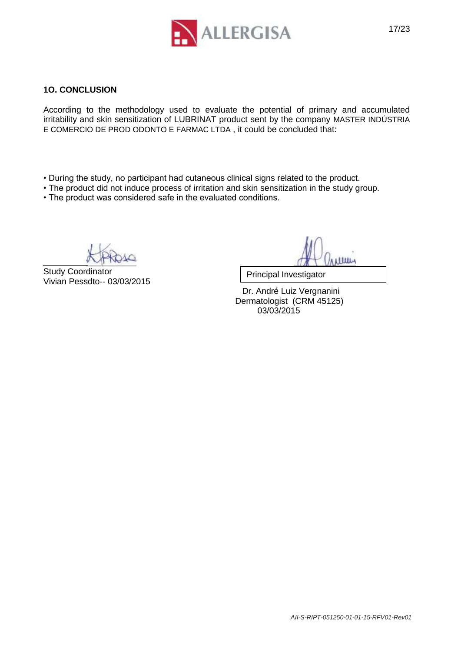

#### **1O. CONCLUSION**

According to the methodology used to evaluate the potential of primary and accumulated irritability and skin sensitization of LUBRINAT product sent by the company MASTER INDÚSTRIA E COMERCIO DE PROD ODONTO E FARMAC LTDA , it could be concluded that:

- During the study, no participant had cutaneous clinical signs related to the product.
- The product did not induce process of irritation and skin sensitization in the study group.
- The product was considered safe in the evaluated conditions.

Study Coordinator Vivian Pessdto-- 03/03/2015

ница

Principal Investigator

 Dr. André Luiz Vergnanini Dermatologist (CRM 45125) 03/03/2015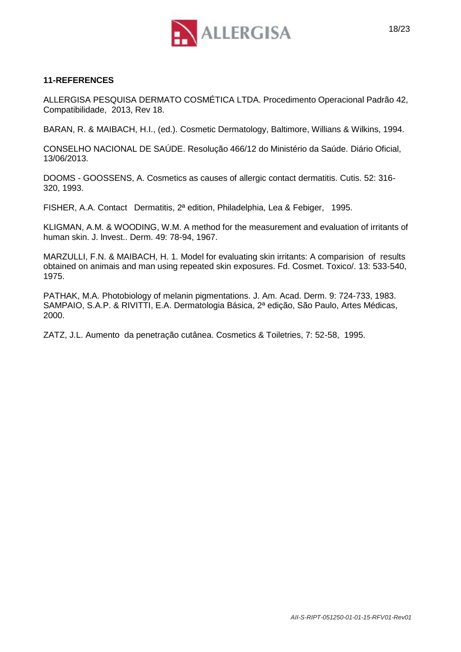

#### **11-REFERENCES**

ALLERGISA PESQUISA DERMATO COSMÉTICA LTDA. Procedimento Operacional Padrão 42, Compatibilidade, 2013, Rev 18.

BARAN, R. & MAIBACH, H.I., (ed.). Cosmetic Dermatology, Baltimore, Willians & Wilkins, 1994.

CONSELHO NACIONAL DE SAÚDE. Resolução 466/12 do Ministério da Saúde. Diário Oficial, 13/06/2013.

DOOMS - GOOSSENS, A. Cosmetics as causes of allergic contact dermatitis. Cutis. 52: 316- 320, 1993.

FISHER, A.A. Contact Dermatitis, 2ª edition, Philadelphia, Lea & Febiger, 1995.

KLIGMAN, A.M. & WOODING, W.M. A method for the measurement and evaluation of irritants of human skin. J. lnvest.. Derm. 49: 78-94, 1967.

MARZULLI, F.N. & MAIBACH, H. 1. Model for evaluating skin irritants: A comparision of results obtained on animais and man using repeated skin exposures. Fd. Cosmet. Toxico/. 13: 533-540, 1975.

PATHAK, M.A. Photobiology of melanin pigmentations. J. Am. Acad. Derm. 9: 724-733, 1983. SAMPAIO, S.A.P. & RIVITTI, E.A. Dermatologia Básica, 2ª edição, São Paulo, Artes Médicas, 2000.

ZATZ, J.L. Aumento da penetração cutânea. Cosmetics & Toiletries, 7: 52-58, 1995.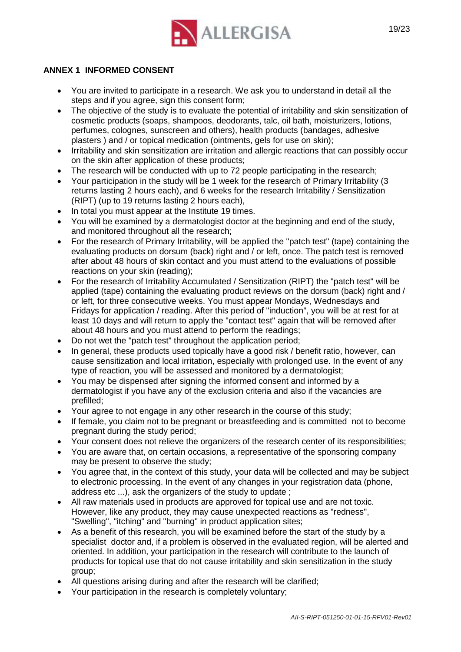

### **ANNEX 1 INFORMED CONSENT**

- You are invited to participate in a research. We ask you to understand in detail all the steps and if you agree, sign this consent form;
- The objective of the study is to evaluate the potential of irritability and skin sensitization of cosmetic products (soaps, shampoos, deodorants, talc, oil bath, moisturizers, lotions, perfumes, colognes, sunscreen and others), health products (bandages, adhesive plasters ) and / or topical medication (ointments, gels for use on skin);
- Irritability and skin sensitization are irritation and allergic reactions that can possibly occur on the skin after application of these products;
- The research will be conducted with up to 72 people participating in the research;
- Your participation in the study will be 1 week for the research of Primary Irritability (3 returns lasting 2 hours each), and 6 weeks for the research Irritability / Sensitization (RIPT) (up to 19 returns lasting 2 hours each),
- In total you must appear at the Institute 19 times.
- You will be examined by a dermatologist doctor at the beginning and end of the study, and monitored throughout all the research;
- For the research of Primary Irritability, will be applied the "patch test" (tape) containing the evaluating products on dorsum (back) right and / or left, once. The patch test is removed after about 48 hours of skin contact and you must attend to the evaluations of possible reactions on your skin (reading);
- For the research of Irritability Accumulated / Sensitization (RIPT) the "patch test" will be applied (tape) containing the evaluating product reviews on the dorsum (back) right and / or left, for three consecutive weeks. You must appear Mondays, Wednesdays and Fridays for application / reading. After this period of "induction", you will be at rest for at least 10 days and will return to apply the "contact test" again that will be removed after about 48 hours and you must attend to perform the readings;
- Do not wet the "patch test" throughout the application period;
- In general, these products used topically have a good risk / benefit ratio, however, can cause sensitization and local irritation, especially with prolonged use. In the event of any type of reaction, you will be assessed and monitored by a dermatologist;
- You may be dispensed after signing the informed consent and informed by a dermatologist if you have any of the exclusion criteria and also if the vacancies are prefilled;
- Your agree to not engage in any other research in the course of this study;
- If female, you claim not to be pregnant or breastfeeding and is committed not to become pregnant during the study period;
- Your consent does not relieve the organizers of the research center of its responsibilities;
- You are aware that, on certain occasions, a representative of the sponsoring company may be present to observe the study;
- You agree that, in the context of this study, your data will be collected and may be subject to electronic processing. In the event of any changes in your registration data (phone, address etc ...), ask the organizers of the study to update ;
- All raw materials used in products are approved for topical use and are not toxic. However, like any product, they may cause unexpected reactions as "redness", "Swelling", "itching" and "burning" in product application sites;
- As a benefit of this research, you will be examined before the start of the study by a specialist doctor and, if a problem is observed in the evaluated region, will be alerted and oriented. In addition, your participation in the research will contribute to the launch of products for topical use that do not cause irritability and skin sensitization in the study group;
- All questions arising during and after the research will be clarified;
- Your participation in the research is completely voluntary;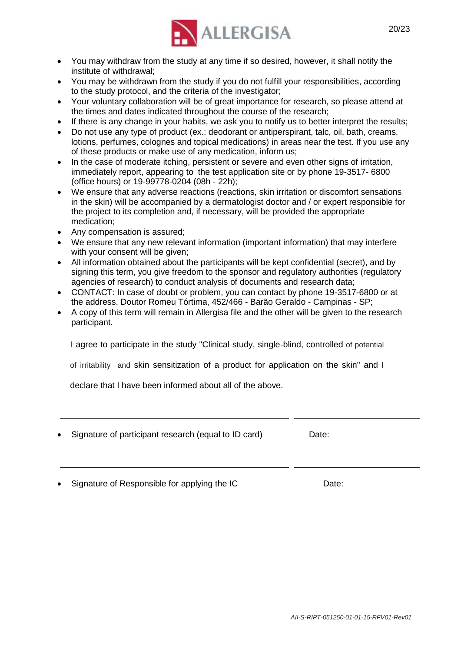

- You may withdraw from the study at any time if so desired, however, it shall notify the institute of withdrawal;
- You may be withdrawn from the study if you do not fulfill your responsibilities, according to the study protocol, and the criteria of the investigator;
- Your voluntary collaboration will be of great importance for research, so please attend at the times and dates indicated throughout the course of the research;
- If there is any change in your habits, we ask you to notify us to better interpret the results;
- Do not use any type of product (ex.: deodorant or antiperspirant, talc, oil, bath, creams, lotions, perfumes, colognes and topical medications) in areas near the test. If you use any of these products or make use of any medication, inform us;
- In the case of moderate itching, persistent or severe and even other signs of irritation, immediately report, appearing to the test application site or by phone 19-3517- 6800 (office hours) or 19-99778-0204 (08h - 22h);
- We ensure that any adverse reactions (reactions, skin irritation or discomfort sensations in the skin) will be accompanied by a dermatologist doctor and / or expert responsible for the project to its completion and, if necessary, will be provided the appropriate medication;
- Any compensation is assured;
- We ensure that any new relevant information (important information) that may interfere with your consent will be given:
- All information obtained about the participants will be kept confidential (secret), and by signing this term, you give freedom to the sponsor and regulatory authorities (regulatory agencies of research) to conduct analysis of documents and research data;
- CONTACT: In case of doubt or problem, you can contact by phone 19-3517-6800 or at the address. Doutor Romeu Tórtima, 452/466 - Barão Geraldo - Campinas - SP;
- A copy of this term will remain in Allergisa file and the other will be given to the research participant.

I agree to participate in the study "Clinical study, single-blind, controlled of potential

of irritability and skin sensitization of a product for application on the skin" and I

declare that I have been informed about all of the above.

| • Signature of participant research (equal to ID card) | Date: |
|--------------------------------------------------------|-------|
|                                                        |       |

• Signature of Responsible for applying the IC Date: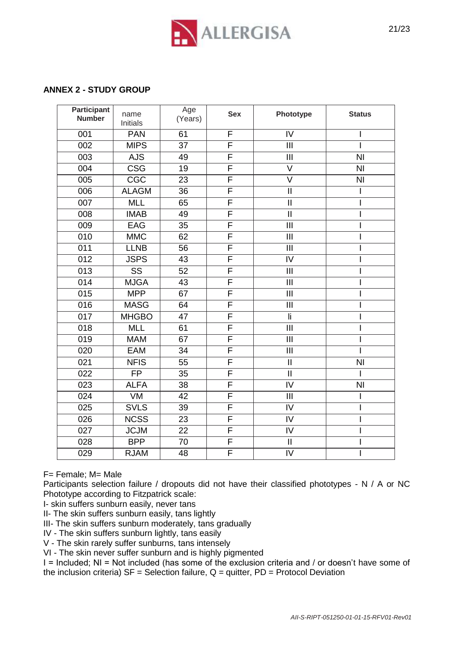

#### **ANNEX 2 - STUDY GROUP**

| <b>Participant</b><br><b>Number</b> | name<br>Initials        | Age<br>(Years)  | <b>Sex</b>              | Phototype               | <b>Status</b>  |
|-------------------------------------|-------------------------|-----------------|-------------------------|-------------------------|----------------|
| 001                                 | <b>PAN</b>              | 61              | F                       | IV                      |                |
| 002                                 | <b>MIPS</b>             | 37              | F                       | III                     |                |
| 003                                 | <b>AJS</b>              | 49              | F                       | III                     | N <sub>l</sub> |
| 004                                 | $\overline{\text{CSG}}$ | $\overline{19}$ | F                       | $\vee$                  | N <sub>l</sub> |
| 005                                 | CGC                     | 23              | F                       | $\overline{\mathsf{V}}$ | N <sub>l</sub> |
| 006                                 | <b>ALAGM</b>            | 36              | $\overline{F}$          | $\mathbf{II}$           | I              |
| 007                                 | <b>MLL</b>              | 65              | $\overline{\mathsf{F}}$ | $\overline{\mathsf{I}}$ | I              |
| 008                                 | <b>IMAB</b>             | 49              | F                       | $\overline{\mathbf{H}}$ |                |
| 009                                 | EAG                     | 35              | F                       | $\overline{\mathbb{H}}$ |                |
| 010                                 | <b>MMC</b>              | 62              | F                       | $\mathbf{III}$          |                |
| 011                                 | <b>LLNB</b>             | 56              | F                       | $\mathbf{III}$          |                |
| $\overline{012}$                    | <b>JSPS</b>             | 43              | F                       | $\overline{N}$          |                |
| 013                                 | $\overline{\text{SS}}$  | 52              | F                       | III                     |                |
| 014                                 | <b>MJGA</b>             | 43              | $\overline{F}$          | III                     |                |
| 015                                 | <b>MPP</b>              | 67              | F                       | III                     |                |
| 016                                 | <b>MASG</b>             | 64              | $\overline{\mathsf{F}}$ | $\mathbf{III}$          |                |
| $\overline{017}$                    | <b>MHGBO</b>            | 47              | F                       | $\overline{\mathsf{I}}$ |                |
| 018                                 | <b>MLL</b>              | 61              | $\overline{\mathsf{F}}$ | $\overline{\mathbb{H}}$ |                |
| 019                                 | <b>MAM</b>              | 67              | $\overline{F}$          | III                     |                |
| 020                                 | <b>EAM</b>              | 34              | F                       | $\mathbf{III}$          |                |
| 021                                 | <b>NFIS</b>             | 55              | F                       | $\mathbf{II}$           | N <sub>l</sub> |
| 022                                 | <b>FP</b>               | 35              | F                       | $\overline{\mathbf{u}}$ |                |
| 023                                 | <b>ALFA</b>             | 38              | F                       | $\overline{N}$          | N <sub>l</sub> |
| 024                                 | VM                      | 42              | F                       | III                     | I              |
| 025                                 | <b>SVLS</b>             | 39              | F                       | $\overline{N}$          |                |
| 026                                 | <b>NCSS</b>             | 23              | $\overline{\mathsf{F}}$ | IV                      |                |
| 027                                 | <b>JCJM</b>             | $\overline{22}$ | $\overline{\mathsf{F}}$ | $\overline{N}$          |                |
| 028                                 | <b>BPP</b>              | 70              | F                       | $\overline{\mathbf{u}}$ |                |
| 029                                 | <b>RJAM</b>             | 48              | F                       | IV                      |                |

F= Female; M= Male

Participants selection failure / dropouts did not have their classified phototypes - N / A or NC Phototype according to Fitzpatrick scale:

I- skin suffers sunburn easily, never tans

II- The skin suffers sunburn easily, tans lightly

III- The skin suffers sunburn moderately, tans gradually

IV - The skin suffers sunburn lightly, tans easily

V - The skin rarely suffer sunburns, tans intensely

VI - The skin never suffer sunburn and is highly pigmented

I = Included; NI = Not included (has some of the exclusion criteria and / or doesn't have some of the inclusion criteria)  $SF = Selection$  failure,  $Q =$  quitter,  $PD = Protocol$  Deviation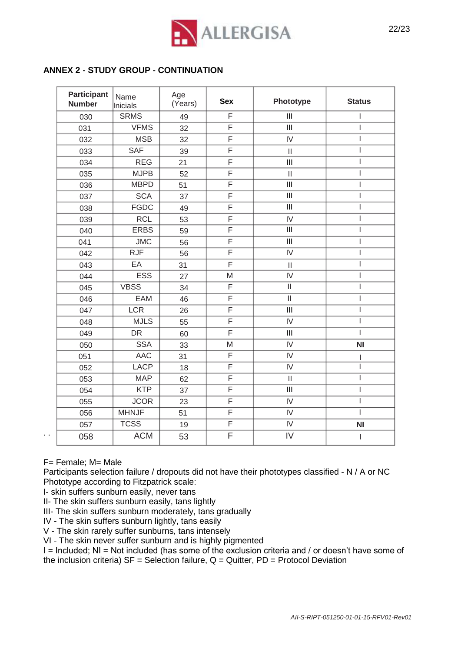

#### **ANNEX 2 - STUDY GROUP - CONTINUATION**

| <b>Participant</b><br><b>Number</b> | Name<br>Inicials | Age<br>(Years) | <b>Sex</b>              | Phototype                             | <b>Status</b>  |
|-------------------------------------|------------------|----------------|-------------------------|---------------------------------------|----------------|
| 030                                 | <b>SRMS</b>      | 49             | F                       | $\overline{\mathbf{III}}$             | L              |
| 031                                 | <b>VFMS</b>      | 32             | $\overline{\mathsf{F}}$ | $\overline{III}$                      | I              |
| 032                                 | <b>MSB</b>       | 32             | F                       | IV                                    | I              |
| 033                                 | <b>SAF</b>       | 39             | F                       | $\begin{array}{c} \hline \end{array}$ | I              |
| 034                                 | <b>REG</b>       | 21             | F                       | III                                   | I              |
| 035                                 | <b>MJPB</b>      | 52             | F                       | $\mathbf{II}$                         | ı              |
| 036                                 | <b>MBPD</b>      | 51             | $\overline{F}$          | $\overline{\mathbf{III}}$             | I              |
| 037                                 | <b>SCA</b>       | 37             | $\overline{\mathsf{F}}$ | $\overline{\mathbb{H}}$               | I              |
| 038                                 | <b>FGDC</b>      | 49             | F                       | $\overline{\mathbf{III}}$             | ı              |
| 039                                 | <b>RCL</b>       | 53             | F                       | $\overline{V}$                        | ı              |
| 040                                 | <b>ERBS</b>      | 59             | F                       | $\overline{\mathsf{III}}$             | I              |
| 041                                 | <b>JMC</b>       | 56             | F                       | $\overline{\mathbf{III}}$             | I              |
| 042                                 | <b>RJF</b>       | 56             | $\overline{\mathsf{F}}$ | $\overline{IV}$                       | ı              |
| 043                                 | EA               | 31             | F                       | $\mathbf{  }$                         | I              |
| 044                                 | <b>ESS</b>       | 27             | M                       | IV                                    | ı              |
| 045                                 | <b>VBSS</b>      | 34             | $\overline{F}$          | $\overline{\mathbb{I}}$               | I              |
| 046                                 | EAM              | 46             | F                       | $\overline{\rm II}$                   | I              |
| 047                                 | <b>LCR</b>       | 26             | $\overline{\mathsf{F}}$ | $\overline{III}$                      | I              |
| 048                                 | <b>MJLS</b>      | 55             | F                       | IV                                    | I              |
| 049                                 | <b>DR</b>        | 60             | F                       | III                                   | I              |
| 050                                 | <b>SSA</b>       | 33             | M                       | $\overline{IV}$                       | N <sub>l</sub> |
| 051                                 | <b>AAC</b>       | 31             | F                       | IV                                    | L              |
| 052                                 | <b>LACP</b>      | 18             | F                       | $\overline{IV}$                       | ı              |
| 053                                 | <b>MAP</b>       | 62             | F                       | $\mathbf{I}$                          | I              |
| 054                                 | <b>KTP</b>       | 37             | $\overline{F}$          | III                                   | I              |
| 055                                 | <b>JCOR</b>      | 23             | F                       | $\overline{V}$                        | I              |
| 056                                 | <b>MHNJF</b>     | 51             | $\overline{F}$          | IV                                    | I              |
| 057                                 | <b>TCSS</b>      | 19             | $\overline{F}$          | IV                                    | <b>NI</b>      |
| 058                                 | <b>ACM</b>       | 53             | F                       | IV                                    | I              |

F= Female; M= Male

. .

Participants selection failure / dropouts did not have their phototypes classified - N / A or NC Phototype according to Fitzpatrick scale:

I- skin suffers sunburn easily, never tans

II- The skin suffers sunburn easily, tans lightly

III- The skin suffers sunburn moderately, tans gradually

IV - The skin suffers sunburn lightly, tans easily

V - The skin rarely suffer sunburns, tans intensely

VI - The skin never suffer sunburn and is highly pigmented

I = Included; NI = Not included (has some of the exclusion criteria and / or doesn't have some of the inclusion criteria)  $SF = Selection$  failure,  $Q = Quitter$ ,  $PD = Protocol$  Deviation